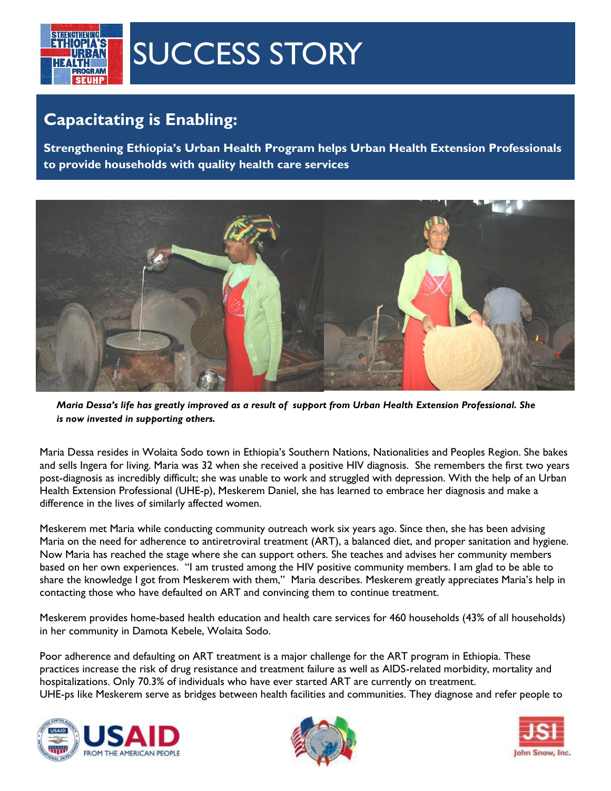

## SUCCESS STORY

## **Capacitating is Enabling:**

**Strengthening Ethiopia's Urban Health Program helps Urban Health Extension Professionals to provide households with quality health care services**



*Maria Dessa's life has greatly improved as a result of support from Urban Health Extension Professional. She is now invested in supporting others.*

Maria Dessa resides in Wolaita Sodo town in Ethiopia's Southern Nations, Nationalities and Peoples Region. She bakes and sells Ingera for living. Maria was 32 when she received a positive HIV diagnosis. She remembers the first two years post-diagnosis as incredibly difficult; she was unable to work and struggled with depression. With the help of an Urban Health Extension Professional (UHE-p), Meskerem Daniel, she has learned to embrace her diagnosis and make a difference in the lives of similarly affected women.

Meskerem met Maria while conducting community outreach work six years ago. Since then, she has been advising Maria on the need for adherence to antiretroviral treatment (ART), a balanced diet, and proper sanitation and hygiene. Now Maria has reached the stage where she can support others. She teaches and advises her community members based on her own experiences. "I am trusted among the HIV positive community members. I am glad to be able to share the knowledge I got from Meskerem with them," Maria describes. Meskerem greatly appreciates Maria's help in contacting those who have defaulted on ART and convincing them to continue treatment.

Meskerem provides home-based health education and health care services for 460 households (43% of all households) in her community in Damota Kebele, Wolaita Sodo.

Poor adherence and defaulting on ART treatment is a major challenge for the ART program in Ethiopia. These practices increase the risk of drug resistance and treatment failure as well as AIDS-related morbidity, mortality and hospitalizations. Only 70.3% of individuals who have ever started ART are currently on treatment. UHE-ps like Meskerem serve as bridges between health facilities and communities. They diagnose and refer people to